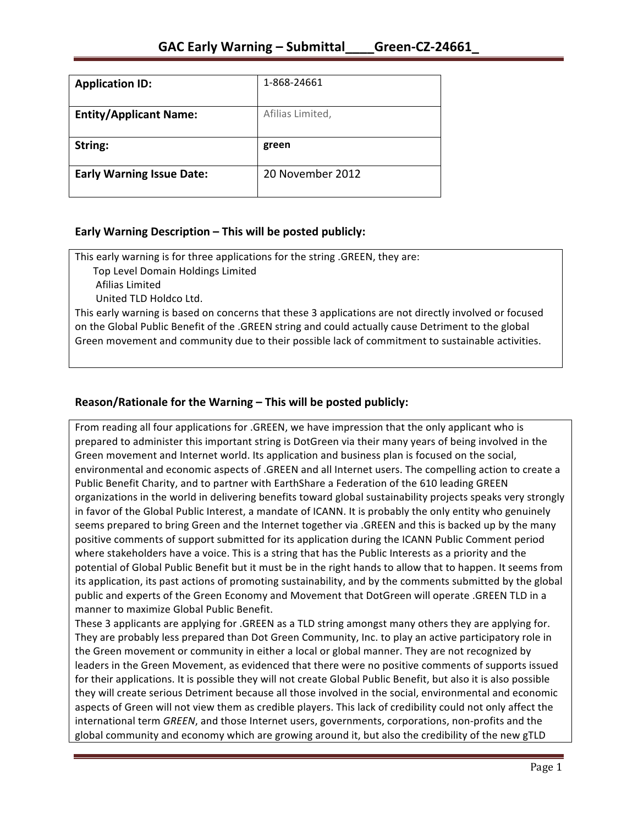| <b>Application ID:</b>           | 1-868-24661      |
|----------------------------------|------------------|
| <b>Entity/Applicant Name:</b>    | Afilias Limited, |
| String:                          | green            |
| <b>Early Warning Issue Date:</b> | 20 November 2012 |

### **Early Warning Description – This will be posted publicly:**

This early warning is for three applications for the string .GREEN, they are:

Top Level Domain Holdings Limited

 Afilias Limited

United TLD Holdco Ltd.

This early warning is based on concerns that these 3 applications are not directly involved or focused on the Global Public Benefit of the .GREEN string and could actually cause Detriment to the global Green movement and community due to their possible lack of commitment to sustainable activities.

## **Reason/Rationale for the Warning – This will be posted publicly:**

From reading all four applications for .GREEN, we have impression that the only applicant who is prepared to administer this important string is DotGreen via their many years of being involved in the Green movement and Internet world. Its application and business plan is focused on the social, environmental and economic aspects of .GREEN and all Internet users. The compelling action to create a Public Benefit Charity, and to partner with EarthShare a Federation of the 610 leading GREEN organizations in the world in delivering benefits toward global sustainability projects speaks very strongly in favor of the Global Public Interest, a mandate of ICANN. It is probably the only entity who genuinely seems prepared to bring Green and the Internet together via .GREEN and this is backed up by the many positive comments of support submitted for its application during the ICANN Public Comment period where stakeholders have a voice. This is a string that has the Public Interests as a priority and the potential of Global Public Benefit but it must be in the right hands to allow that to happen. It seems from its application, its past actions of promoting sustainability, and by the comments submitted by the global public and experts of the Green Economy and Movement that DotGreen will operate .GREEN TLD in a manner to maximize Global Public Benefit.

These 3 applicants are applying for .GREEN as a TLD string amongst many others they are applying for. They are probably less prepared than Dot Green Community, Inc. to play an active participatory role in the Green movement or community in either a local or global manner. They are not recognized by leaders in the Green Movement, as evidenced that there were no positive comments of supports issued for their applications. It is possible they will not create Global Public Benefit, but also it is also possible they will create serious Detriment because all those involved in the social, environmental and economic aspects of Green will not view them as credible players. This lack of credibility could not only affect the international term *GREEN*, and those Internet users, governments, corporations, non-profits and the global community and economy which are growing around it, but also the credibility of the new gTLD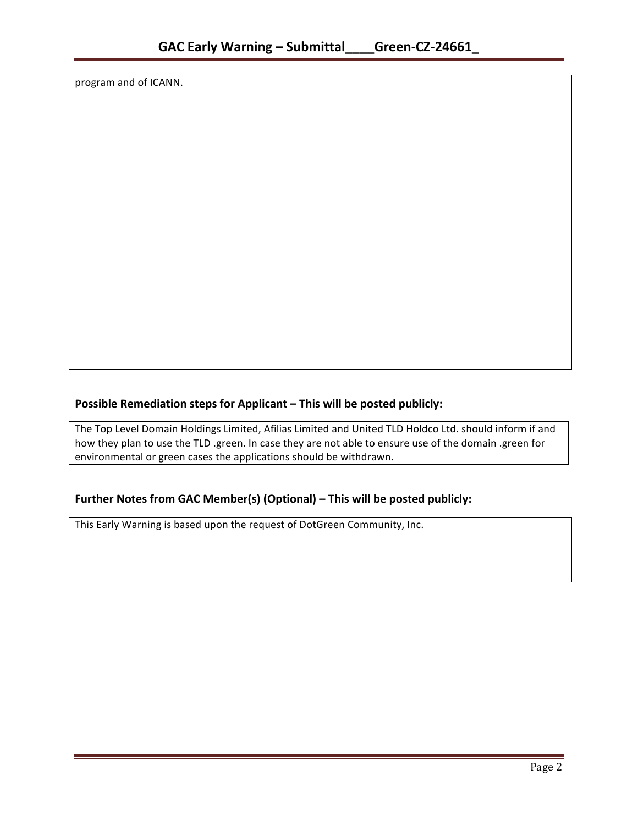program and of ICANN.

## **Possible Remediation steps for Applicant – This will be posted publicly:**

The Top Level Domain Holdings Limited, Afilias Limited and United TLD Holdco Ltd. should inform if and how they plan to use the TLD .green. In case they are not able to ensure use of the domain .green for environmental or green cases the applications should be withdrawn.

### **Further Notes from GAC Member(s) (Optional) – This will be posted publicly:**

This Early Warning is based upon the request of DotGreen Community, Inc.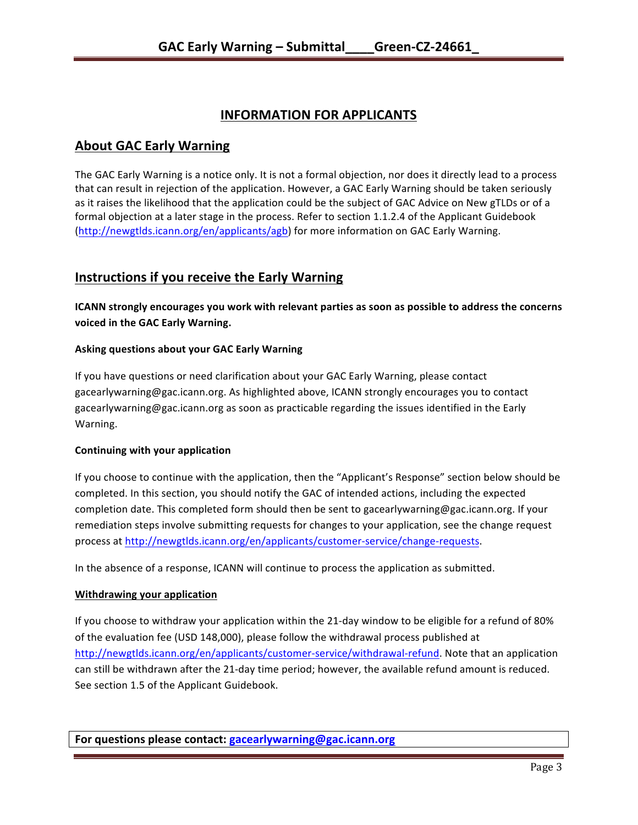# **INFORMATION FOR APPLICANTS**

## **About GAC Early Warning**

The GAC Early Warning is a notice only. It is not a formal objection, nor does it directly lead to a process that can result in rejection of the application. However, a GAC Early Warning should be taken seriously as it raises the likelihood that the application could be the subject of GAC Advice on New gTLDs or of a formal objection at a later stage in the process. Refer to section 1.1.2.4 of the Applicant Guidebook (http://newgtlds.icann.org/en/applicants/agb) for more information on GAC Early Warning.

# **Instructions if you receive the Early Warning**

**ICANN** strongly encourages you work with relevant parties as soon as possible to address the concerns **voiced in the GAC Early Warning.** 

#### **Asking questions about your GAC Early Warning**

If you have questions or need clarification about your GAC Early Warning, please contact gacearlywarning@gac.icann.org. As highlighted above, ICANN strongly encourages you to contact gacearlywarning@gac.icann.org as soon as practicable regarding the issues identified in the Early Warning. 

#### **Continuing with your application**

If you choose to continue with the application, then the "Applicant's Response" section below should be completed. In this section, you should notify the GAC of intended actions, including the expected completion date. This completed form should then be sent to gacearlywarning@gac.icann.org. If your remediation steps involve submitting requests for changes to your application, see the change request process at http://newgtlds.icann.org/en/applicants/customer-service/change-requests.

In the absence of a response, ICANN will continue to process the application as submitted.

#### **Withdrawing your application**

If you choose to withdraw your application within the 21-day window to be eligible for a refund of 80% of the evaluation fee (USD 148,000), please follow the withdrawal process published at http://newgtlds.icann.org/en/applicants/customer-service/withdrawal-refund. Note that an application can still be withdrawn after the 21-day time period; however, the available refund amount is reduced. See section 1.5 of the Applicant Guidebook.

For questions please contact: gacearlywarning@gac.icann.org